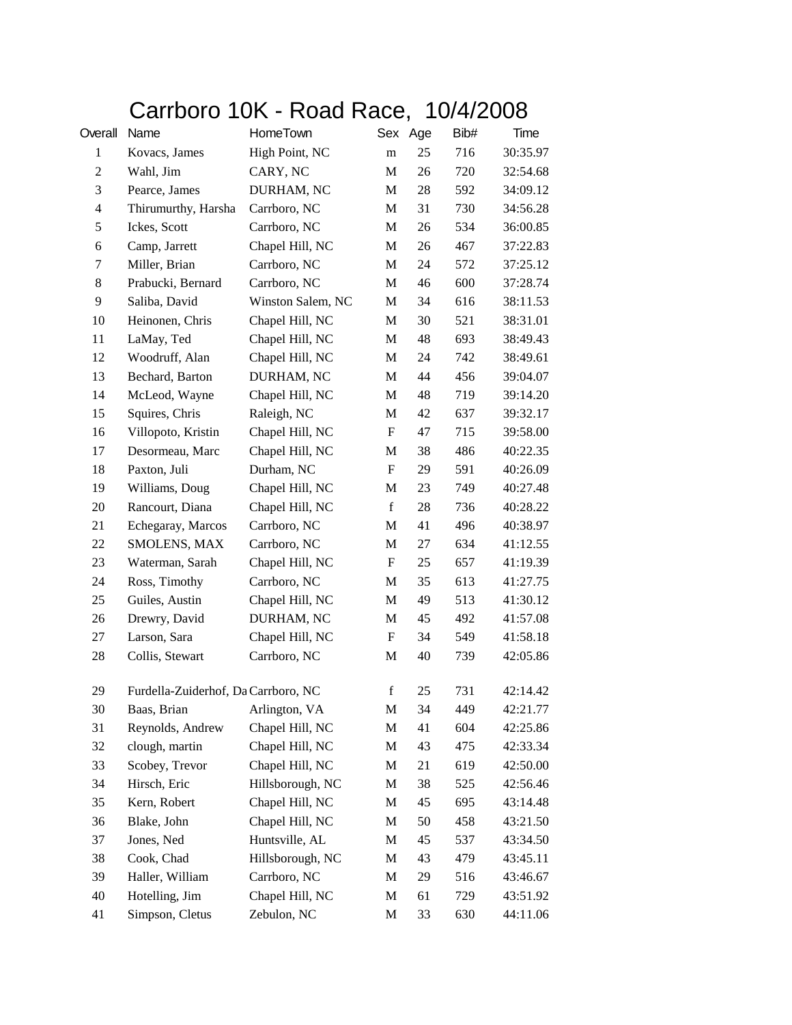## Carrboro 10K - Road Race, 10/4/2008

| Overall        | Name                                | HomeTown          |                           | Sex Age | Bib# | Time     |
|----------------|-------------------------------------|-------------------|---------------------------|---------|------|----------|
| $\mathbf{1}$   | Kovacs, James                       | High Point, NC    | m                         | 25      | 716  | 30:35.97 |
| $\overline{c}$ | Wahl, Jim                           | CARY, NC          | M                         | 26      | 720  | 32:54.68 |
| 3              | Pearce, James                       | DURHAM, NC        | M                         | 28      | 592  | 34:09.12 |
| $\overline{4}$ | Thirumurthy, Harsha                 | Carrboro, NC      | M                         | 31      | 730  | 34:56.28 |
| 5              | Ickes, Scott                        | Carrboro, NC      | M                         | 26      | 534  | 36:00.85 |
| 6              | Camp, Jarrett                       | Chapel Hill, NC   | M                         | 26      | 467  | 37:22.83 |
| 7              | Miller, Brian                       | Carrboro, NC      | M                         | 24      | 572  | 37:25.12 |
| 8              | Prabucki, Bernard                   | Carrboro, NC      | $\mathbf M$               | 46      | 600  | 37:28.74 |
| 9              | Saliba, David                       | Winston Salem, NC | M                         | 34      | 616  | 38:11.53 |
| 10             | Heinonen, Chris                     | Chapel Hill, NC   | M                         | 30      | 521  | 38:31.01 |
| 11             | LaMay, Ted                          | Chapel Hill, NC   | M                         | 48      | 693  | 38:49.43 |
| 12             | Woodruff, Alan                      | Chapel Hill, NC   | M                         | 24      | 742  | 38:49.61 |
| 13             | Bechard, Barton                     | DURHAM, NC        | $\mathbf M$               | 44      | 456  | 39:04.07 |
| 14             | McLeod, Wayne                       | Chapel Hill, NC   | M                         | 48      | 719  | 39:14.20 |
| 15             | Squires, Chris                      | Raleigh, NC       | M                         | 42      | 637  | 39:32.17 |
| 16             | Villopoto, Kristin                  | Chapel Hill, NC   | F                         | 47      | 715  | 39:58.00 |
| 17             | Desormeau, Marc                     | Chapel Hill, NC   | M                         | 38      | 486  | 40:22.35 |
| 18             | Paxton, Juli                        | Durham, NC        | $\boldsymbol{\mathrm{F}}$ | 29      | 591  | 40:26.09 |
| 19             | Williams, Doug                      | Chapel Hill, NC   | M                         | 23      | 749  | 40:27.48 |
| 20             | Rancourt, Diana                     | Chapel Hill, NC   | $\mathbf f$               | 28      | 736  | 40:28.22 |
| 21             | Echegaray, Marcos                   | Carrboro, NC      | M                         | 41      | 496  | 40:38.97 |
| 22             | SMOLENS, MAX                        | Carrboro, NC      | M                         | 27      | 634  | 41:12.55 |
| 23             | Waterman, Sarah                     | Chapel Hill, NC   | $\boldsymbol{\mathrm{F}}$ | 25      | 657  | 41:19.39 |
| 24             | Ross, Timothy                       | Carrboro, NC      | M                         | 35      | 613  | 41:27.75 |
| 25             | Guiles, Austin                      | Chapel Hill, NC   | M                         | 49      | 513  | 41:30.12 |
| 26             | Drewry, David                       | DURHAM, NC        | M                         | 45      | 492  | 41:57.08 |
| 27             | Larson, Sara                        | Chapel Hill, NC   | F                         | 34      | 549  | 41:58.18 |
| 28             | Collis, Stewart                     | Carrboro, NC      | M                         | 40      | 739  | 42:05.86 |
| 29             | Furdella-Zuiderhof, Da Carrboro, NC |                   | $\mathbf f$               | 25      | 731  | 42:14.42 |
| 30             | Baas, Brian                         | Arlington, VA     | M                         | 34      | 449  | 42:21.77 |
| 31             | Reynolds, Andrew                    | Chapel Hill, NC   | M                         | 41      | 604  | 42:25.86 |
| 32             | clough, martin                      | Chapel Hill, NC   | M                         | 43      | 475  | 42:33.34 |
| 33             | Scobey, Trevor                      | Chapel Hill, NC   | M                         | 21      | 619  | 42:50.00 |
| 34             | Hirsch, Eric                        | Hillsborough, NC  | M                         | 38      | 525  | 42:56.46 |
| 35             | Kern, Robert                        | Chapel Hill, NC   | M                         | 45      | 695  | 43:14.48 |
| 36             | Blake, John                         | Chapel Hill, NC   | M                         | 50      | 458  | 43:21.50 |
| 37             | Jones, Ned                          | Huntsville, AL    | M                         | 45      | 537  | 43:34.50 |
| 38             | Cook, Chad                          | Hillsborough, NC  | M                         | 43      | 479  | 43:45.11 |
| 39             | Haller, William                     | Carrboro, NC      | M                         | 29      | 516  | 43:46.67 |
| 40             | Hotelling, Jim                      | Chapel Hill, NC   | M                         | 61      | 729  | 43:51.92 |
| 41             | Simpson, Cletus                     | Zebulon, NC       | M                         | 33      | 630  | 44:11.06 |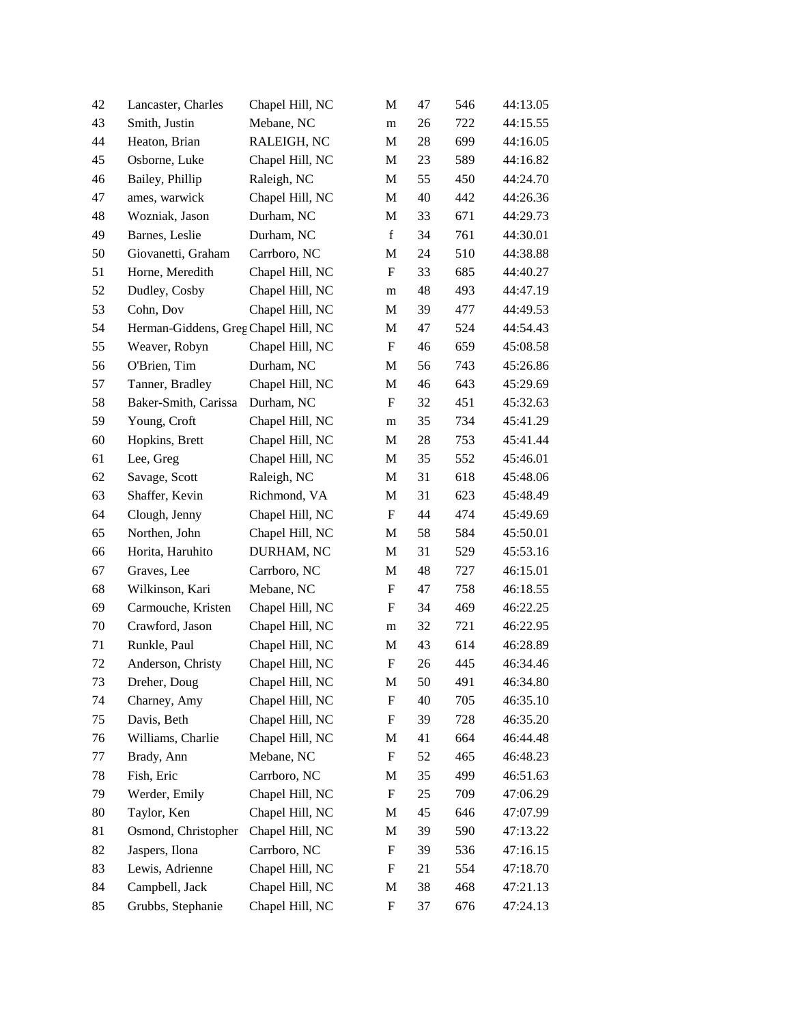| 42 | Lancaster, Charles                   | Chapel Hill, NC | М                         | 47 | 546 | 44:13.05 |
|----|--------------------------------------|-----------------|---------------------------|----|-----|----------|
| 43 | Smith, Justin                        | Mebane, NC      | m                         | 26 | 722 | 44:15.55 |
| 44 | Heaton, Brian                        | RALEIGH, NC     | $\mathbf{M}$              | 28 | 699 | 44:16.05 |
| 45 | Osborne, Luke                        | Chapel Hill, NC | M                         | 23 | 589 | 44:16.82 |
| 46 | Bailey, Phillip                      | Raleigh, NC     | M                         | 55 | 450 | 44:24.70 |
| 47 | ames, warwick                        | Chapel Hill, NC | M                         | 40 | 442 | 44:26.36 |
| 48 | Wozniak, Jason                       | Durham, NC      | M                         | 33 | 671 | 44:29.73 |
| 49 | Barnes, Leslie                       | Durham, NC      | $\mathbf f$               | 34 | 761 | 44:30.01 |
| 50 | Giovanetti, Graham                   | Carrboro, NC    | M                         | 24 | 510 | 44:38.88 |
| 51 | Horne, Meredith                      | Chapel Hill, NC | F                         | 33 | 685 | 44:40.27 |
| 52 | Dudley, Cosby                        | Chapel Hill, NC | m                         | 48 | 493 | 44:47.19 |
| 53 | Cohn, Dov                            | Chapel Hill, NC | M                         | 39 | 477 | 44:49.53 |
| 54 | Herman-Giddens, Greg Chapel Hill, NC |                 | $\mathbf{M}$              | 47 | 524 | 44:54.43 |
| 55 | Weaver, Robyn                        | Chapel Hill, NC | F                         | 46 | 659 | 45:08.58 |
| 56 | O'Brien, Tim                         | Durham, NC      | M                         | 56 | 743 | 45:26.86 |
| 57 | Tanner, Bradley                      | Chapel Hill, NC | M                         | 46 | 643 | 45:29.69 |
| 58 | Baker-Smith, Carissa                 | Durham, NC      | F                         | 32 | 451 | 45:32.63 |
| 59 | Young, Croft                         | Chapel Hill, NC | m                         | 35 | 734 | 45:41.29 |
| 60 | Hopkins, Brett                       | Chapel Hill, NC | M                         | 28 | 753 | 45:41.44 |
| 61 | Lee, Greg                            | Chapel Hill, NC | M                         | 35 | 552 | 45:46.01 |
| 62 | Savage, Scott                        | Raleigh, NC     | M                         | 31 | 618 | 45:48.06 |
| 63 | Shaffer, Kevin                       | Richmond, VA    | M                         | 31 | 623 | 45:48.49 |
| 64 | Clough, Jenny                        | Chapel Hill, NC | $\boldsymbol{\mathrm{F}}$ | 44 | 474 | 45:49.69 |
| 65 | Northen, John                        | Chapel Hill, NC | M                         | 58 | 584 | 45:50.01 |
| 66 | Horita, Haruhito                     | DURHAM, NC      | M                         | 31 | 529 | 45:53.16 |
| 67 | Graves, Lee                          | Carrboro, NC    | M                         | 48 | 727 | 46:15.01 |
| 68 | Wilkinson, Kari                      | Mebane, NC      | F                         | 47 | 758 | 46:18.55 |
| 69 | Carmouche, Kristen                   | Chapel Hill, NC | $\boldsymbol{\mathrm{F}}$ | 34 | 469 | 46:22.25 |
| 70 | Crawford, Jason                      | Chapel Hill, NC | m                         | 32 | 721 | 46:22.95 |
| 71 | Runkle, Paul                         | Chapel Hill, NC | M                         | 43 | 614 | 46:28.89 |
| 72 | Anderson, Christy                    | Chapel Hill, NC | $\boldsymbol{\mathrm{F}}$ | 26 | 445 | 46:34.46 |
| 73 | Dreher, Doug                         | Chapel Hill, NC | М                         | 50 | 491 | 46:34.80 |
| 74 | Charney, Amy                         | Chapel Hill, NC | $\boldsymbol{\mathrm{F}}$ | 40 | 705 | 46:35.10 |
| 75 | Davis, Beth                          | Chapel Hill, NC | F                         | 39 | 728 | 46:35.20 |
| 76 | Williams, Charlie                    | Chapel Hill, NC | M                         | 41 | 664 | 46:44.48 |
| 77 | Brady, Ann                           | Mebane, NC      | $\boldsymbol{\mathrm{F}}$ | 52 | 465 | 46:48.23 |
| 78 | Fish, Eric                           | Carrboro, NC    | M                         | 35 | 499 | 46:51.63 |
| 79 | Werder, Emily                        | Chapel Hill, NC | $\boldsymbol{\mathrm{F}}$ | 25 | 709 | 47:06.29 |
| 80 | Taylor, Ken                          | Chapel Hill, NC | M                         | 45 | 646 | 47:07.99 |
| 81 | Osmond, Christopher                  | Chapel Hill, NC | M                         | 39 | 590 | 47:13.22 |
| 82 | Jaspers, Ilona                       | Carrboro, NC    | $\boldsymbol{\mathrm{F}}$ | 39 | 536 | 47:16.15 |
| 83 | Lewis, Adrienne                      | Chapel Hill, NC | F                         | 21 | 554 | 47:18.70 |
| 84 | Campbell, Jack                       | Chapel Hill, NC | M                         | 38 | 468 | 47:21.13 |
| 85 | Grubbs, Stephanie                    | Chapel Hill, NC | $\boldsymbol{\mathrm{F}}$ | 37 | 676 | 47:24.13 |
|    |                                      |                 |                           |    |     |          |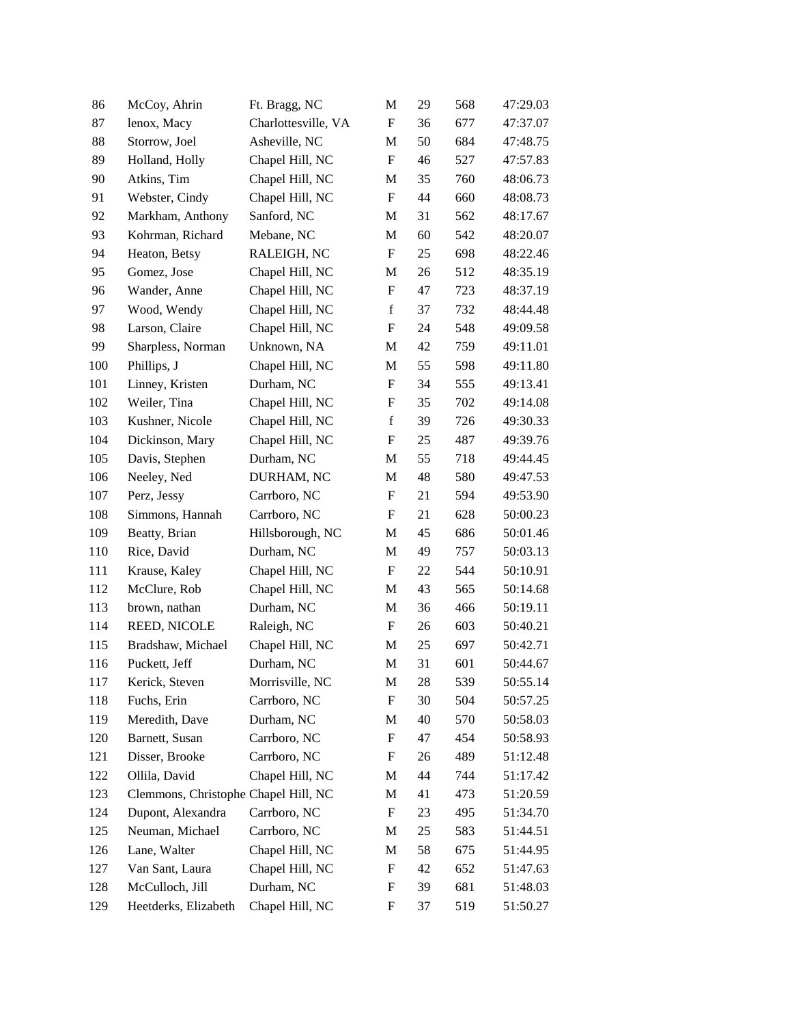| 86  | McCoy, Ahrin                         | Ft. Bragg, NC       | M                         | 29 | 568 | 47:29.03 |
|-----|--------------------------------------|---------------------|---------------------------|----|-----|----------|
| 87  | lenox, Macy                          | Charlottesville, VA | F                         | 36 | 677 | 47:37.07 |
| 88  | Storrow, Joel                        | Asheville, NC       | M                         | 50 | 684 | 47:48.75 |
| 89  | Holland, Holly                       | Chapel Hill, NC     | $\boldsymbol{\mathrm{F}}$ | 46 | 527 | 47:57.83 |
| 90  | Atkins, Tim                          | Chapel Hill, NC     | M                         | 35 | 760 | 48:06.73 |
| 91  | Webster, Cindy                       | Chapel Hill, NC     | $\boldsymbol{\mathrm{F}}$ | 44 | 660 | 48:08.73 |
| 92  | Markham, Anthony                     | Sanford, NC         | M                         | 31 | 562 | 48:17.67 |
| 93  | Kohrman, Richard                     | Mebane, NC          | M                         | 60 | 542 | 48:20.07 |
| 94  | Heaton, Betsy                        | RALEIGH, NC         | $\boldsymbol{\mathrm{F}}$ | 25 | 698 | 48:22.46 |
| 95  | Gomez, Jose                          | Chapel Hill, NC     | M                         | 26 | 512 | 48:35.19 |
| 96  | Wander, Anne                         | Chapel Hill, NC     | F                         | 47 | 723 | 48:37.19 |
| 97  | Wood, Wendy                          | Chapel Hill, NC     | $\mathbf f$               | 37 | 732 | 48:44.48 |
| 98  | Larson, Claire                       | Chapel Hill, NC     | F                         | 24 | 548 | 49:09.58 |
| 99  | Sharpless, Norman                    | Unknown, NA         | M                         | 42 | 759 | 49:11.01 |
| 100 | Phillips, J                          | Chapel Hill, NC     | M                         | 55 | 598 | 49:11.80 |
| 101 | Linney, Kristen                      | Durham, NC          | F                         | 34 | 555 | 49:13.41 |
| 102 | Weiler, Tina                         | Chapel Hill, NC     | F                         | 35 | 702 | 49:14.08 |
| 103 | Kushner, Nicole                      | Chapel Hill, NC     | $\mathbf f$               | 39 | 726 | 49:30.33 |
| 104 | Dickinson, Mary                      | Chapel Hill, NC     | F                         | 25 | 487 | 49:39.76 |
| 105 | Davis, Stephen                       | Durham, NC          | M                         | 55 | 718 | 49:44.45 |
| 106 | Neeley, Ned                          | DURHAM, NC          | $\mathbf M$               | 48 | 580 | 49:47.53 |
| 107 | Perz, Jessy                          | Carrboro, NC        | F                         | 21 | 594 | 49:53.90 |
| 108 | Simmons, Hannah                      | Carrboro, NC        | F                         | 21 | 628 | 50:00.23 |
| 109 | Beatty, Brian                        | Hillsborough, NC    | M                         | 45 | 686 | 50:01.46 |
| 110 | Rice, David                          | Durham, NC          | M                         | 49 | 757 | 50:03.13 |
| 111 | Krause, Kaley                        | Chapel Hill, NC     | F                         | 22 | 544 | 50:10.91 |
| 112 | McClure, Rob                         | Chapel Hill, NC     | M                         | 43 | 565 | 50:14.68 |
| 113 | brown, nathan                        | Durham, NC          | M                         | 36 | 466 | 50:19.11 |
| 114 | REED, NICOLE                         | Raleigh, NC         | F                         | 26 | 603 | 50:40.21 |
| 115 | Bradshaw, Michael                    | Chapel Hill, NC     | M                         | 25 | 697 | 50:42.71 |
| 116 | Puckett, Jeff                        | Durham, NC          | M                         | 31 | 601 | 50:44.67 |
| 117 | Kerick, Steven                       | Morrisville, NC     | M                         | 28 | 539 | 50:55.14 |
| 118 | Fuchs, Erin                          | Carrboro, NC        | F                         | 30 | 504 | 50:57.25 |
| 119 | Meredith, Dave                       | Durham, NC          | M                         | 40 | 570 | 50:58.03 |
| 120 | Barnett, Susan                       | Carrboro, NC        | F                         | 47 | 454 | 50:58.93 |
| 121 | Disser, Brooke                       | Carrboro, NC        | F                         | 26 | 489 | 51:12.48 |
| 122 | Ollila, David                        | Chapel Hill, NC     | М                         | 44 | 744 | 51:17.42 |
| 123 | Clemmons, Christophe Chapel Hill, NC |                     | M                         | 41 | 473 | 51:20.59 |
| 124 | Dupont, Alexandra                    | Carrboro, NC        | F                         | 23 | 495 | 51:34.70 |
| 125 | Neuman, Michael                      | Carrboro, NC        | M                         | 25 | 583 | 51:44.51 |
| 126 | Lane, Walter                         | Chapel Hill, NC     | M                         | 58 | 675 | 51:44.95 |
| 127 | Van Sant, Laura                      | Chapel Hill, NC     | F                         | 42 | 652 | 51:47.63 |
| 128 | McCulloch, Jill                      | Durham, NC          | F                         | 39 | 681 | 51:48.03 |
| 129 | Heetderks, Elizabeth                 | Chapel Hill, NC     | F                         | 37 | 519 | 51:50.27 |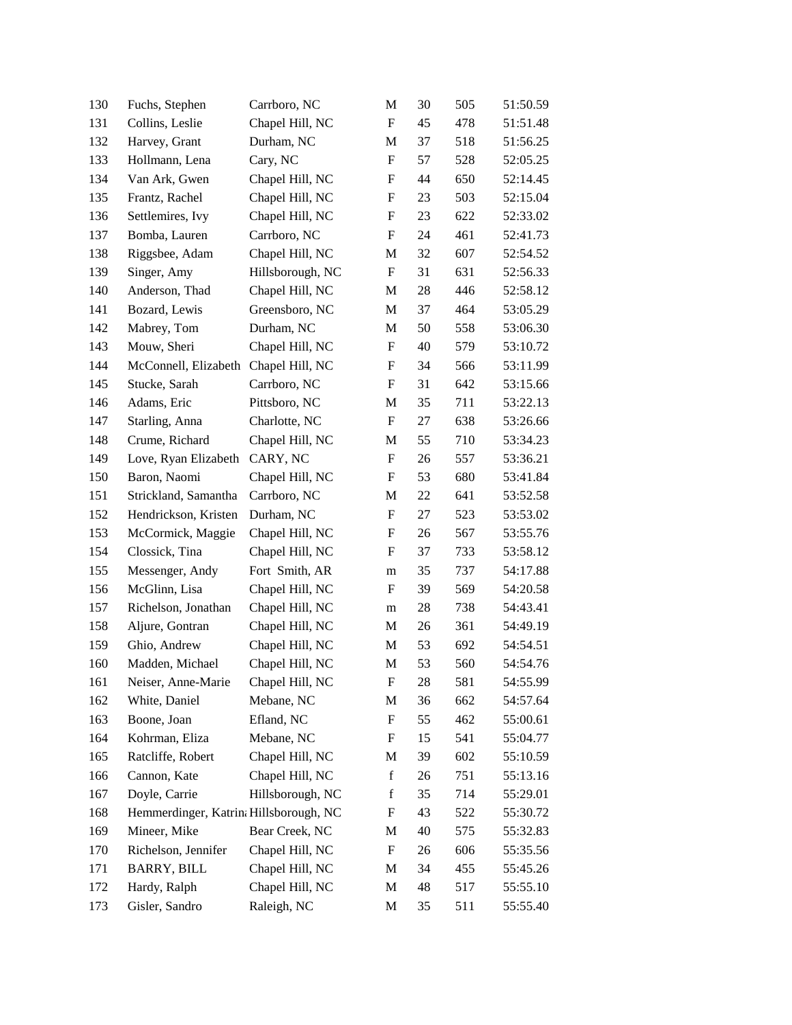| 130 | Fuchs, Stephen                         | Carrboro, NC     | M                         | 30 | 505 | 51:50.59 |
|-----|----------------------------------------|------------------|---------------------------|----|-----|----------|
| 131 | Collins, Leslie                        | Chapel Hill, NC  | $\boldsymbol{\mathrm{F}}$ | 45 | 478 | 51:51.48 |
| 132 | Harvey, Grant                          | Durham, NC       | M                         | 37 | 518 | 51:56.25 |
| 133 | Hollmann, Lena                         | Cary, NC         | F                         | 57 | 528 | 52:05.25 |
| 134 | Van Ark, Gwen                          | Chapel Hill, NC  | F                         | 44 | 650 | 52:14.45 |
| 135 | Frantz, Rachel                         | Chapel Hill, NC  | F                         | 23 | 503 | 52:15.04 |
| 136 | Settlemires, Ivy                       | Chapel Hill, NC  | F                         | 23 | 622 | 52:33.02 |
| 137 | Bomba, Lauren                          | Carrboro, NC     | F                         | 24 | 461 | 52:41.73 |
| 138 | Riggsbee, Adam                         | Chapel Hill, NC  | M                         | 32 | 607 | 52:54.52 |
| 139 | Singer, Amy                            | Hillsborough, NC | $\boldsymbol{\mathrm{F}}$ | 31 | 631 | 52:56.33 |
| 140 | Anderson, Thad                         | Chapel Hill, NC  | M                         | 28 | 446 | 52:58.12 |
| 141 | Bozard, Lewis                          | Greensboro, NC   | M                         | 37 | 464 | 53:05.29 |
| 142 | Mabrey, Tom                            | Durham, NC       | M                         | 50 | 558 | 53:06.30 |
| 143 | Mouw, Sheri                            | Chapel Hill, NC  | F                         | 40 | 579 | 53:10.72 |
| 144 | McConnell, Elizabeth                   | Chapel Hill, NC  | F                         | 34 | 566 | 53:11.99 |
| 145 | Stucke, Sarah                          | Carrboro, NC     | F                         | 31 | 642 | 53:15.66 |
| 146 | Adams, Eric                            | Pittsboro, NC    | M                         | 35 | 711 | 53:22.13 |
| 147 | Starling, Anna                         | Charlotte, NC    | $\boldsymbol{\mathrm{F}}$ | 27 | 638 | 53:26.66 |
| 148 | Crume, Richard                         | Chapel Hill, NC  | M                         | 55 | 710 | 53:34.23 |
| 149 | Love, Ryan Elizabeth                   | CARY, NC         | F                         | 26 | 557 | 53:36.21 |
| 150 | Baron, Naomi                           | Chapel Hill, NC  | F                         | 53 | 680 | 53:41.84 |
| 151 | Strickland, Samantha                   | Carrboro, NC     | M                         | 22 | 641 | 53:52.58 |
| 152 | Hendrickson, Kristen                   | Durham, NC       | $\boldsymbol{\mathrm{F}}$ | 27 | 523 | 53:53.02 |
| 153 | McCormick, Maggie                      | Chapel Hill, NC  | F                         | 26 | 567 | 53:55.76 |
| 154 | Clossick, Tina                         | Chapel Hill, NC  | F                         | 37 | 733 | 53:58.12 |
| 155 | Messenger, Andy                        | Fort Smith, AR   | m                         | 35 | 737 | 54:17.88 |
| 156 | McGlinn, Lisa                          | Chapel Hill, NC  | F                         | 39 | 569 | 54:20.58 |
| 157 | Richelson, Jonathan                    | Chapel Hill, NC  | m                         | 28 | 738 | 54:43.41 |
| 158 | Aljure, Gontran                        | Chapel Hill, NC  | M                         | 26 | 361 | 54:49.19 |
| 159 | Ghio, Andrew                           | Chapel Hill, NC  | M                         | 53 | 692 | 54:54.51 |
| 160 | Madden, Michael                        | Chapel Hill, NC  | M                         | 53 | 560 | 54:54.76 |
| 161 | Neiser, Anne-Marie                     | Chapel Hill, NC  | $\boldsymbol{\mathrm{F}}$ | 28 | 581 | 54:55.99 |
| 162 | White, Daniel                          | Mebane, NC       | M                         | 36 | 662 | 54:57.64 |
| 163 | Boone, Joan                            | Efland, NC       | $\mathbf F$               | 55 | 462 | 55:00.61 |
| 164 | Kohrman, Eliza                         | Mebane, NC       | F                         | 15 | 541 | 55:04.77 |
| 165 | Ratcliffe, Robert                      | Chapel Hill, NC  | M                         | 39 | 602 | 55:10.59 |
| 166 | Cannon, Kate                           | Chapel Hill, NC  | $\mathbf f$               | 26 | 751 | 55:13.16 |
| 167 | Doyle, Carrie                          | Hillsborough, NC | $\mathbf f$               | 35 | 714 | 55:29.01 |
| 168 | Hemmerdinger, Katrin: Hillsborough, NC |                  | F                         | 43 | 522 | 55:30.72 |
| 169 | Mineer, Mike                           | Bear Creek, NC   | M                         | 40 | 575 | 55:32.83 |
| 170 | Richelson, Jennifer                    | Chapel Hill, NC  | $\mathbf F$               | 26 | 606 | 55:35.56 |
| 171 | <b>BARRY, BILL</b>                     | Chapel Hill, NC  | M                         | 34 | 455 | 55:45.26 |
| 172 | Hardy, Ralph                           | Chapel Hill, NC  | M                         | 48 | 517 | 55:55.10 |
| 173 | Gisler, Sandro                         | Raleigh, NC      | M                         | 35 | 511 | 55:55.40 |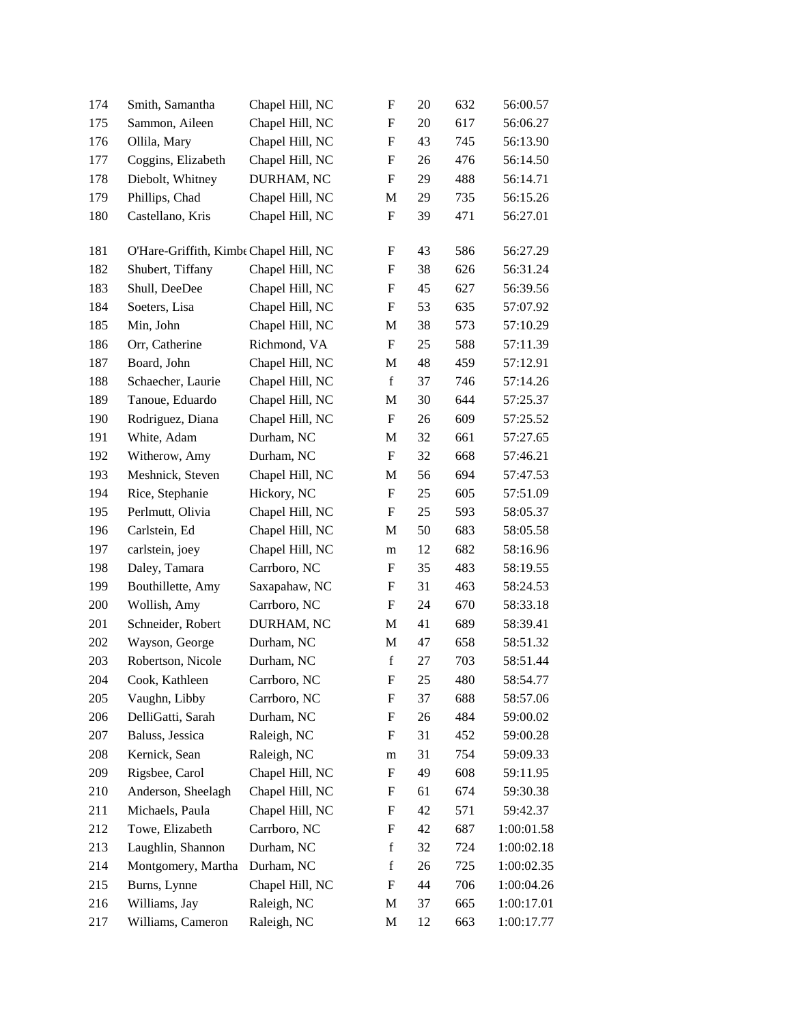| 174 | Smith, Samantha                        | Chapel Hill, NC | $\mathbf F$               | 20 | 632 | 56:00.57   |
|-----|----------------------------------------|-----------------|---------------------------|----|-----|------------|
| 175 | Sammon, Aileen                         | Chapel Hill, NC | F                         | 20 | 617 | 56:06.27   |
| 176 | Ollila, Mary                           | Chapel Hill, NC | $\boldsymbol{\mathrm{F}}$ | 43 | 745 | 56:13.90   |
| 177 | Coggins, Elizabeth                     | Chapel Hill, NC | $\mathbf F$               | 26 | 476 | 56:14.50   |
| 178 | Diebolt, Whitney                       | DURHAM, NC      | $\mathbf F$               | 29 | 488 | 56:14.71   |
| 179 | Phillips, Chad                         | Chapel Hill, NC | M                         | 29 | 735 | 56:15.26   |
| 180 | Castellano, Kris                       | Chapel Hill, NC | F                         | 39 | 471 | 56:27.01   |
| 181 | O'Hare-Griffith, Kimbe Chapel Hill, NC |                 | F                         | 43 | 586 | 56:27.29   |
| 182 | Shubert, Tiffany                       | Chapel Hill, NC | F                         | 38 | 626 | 56:31.24   |
| 183 | Shull, DeeDee                          | Chapel Hill, NC | $\boldsymbol{\mathrm{F}}$ | 45 | 627 | 56:39.56   |
| 184 | Soeters, Lisa                          | Chapel Hill, NC | F                         | 53 | 635 | 57:07.92   |
| 185 | Min, John                              | Chapel Hill, NC | M                         | 38 | 573 | 57:10.29   |
| 186 | Orr, Catherine                         | Richmond, VA    | F                         | 25 | 588 | 57:11.39   |
| 187 | Board, John                            | Chapel Hill, NC | M                         | 48 | 459 | 57:12.91   |
| 188 | Schaecher, Laurie                      | Chapel Hill, NC | $\mathbf f$               | 37 | 746 | 57:14.26   |
| 189 | Tanoue, Eduardo                        | Chapel Hill, NC | M                         | 30 | 644 | 57:25.37   |
| 190 | Rodriguez, Diana                       | Chapel Hill, NC | F                         | 26 | 609 | 57:25.52   |
| 191 | White, Adam                            | Durham, NC      | M                         | 32 | 661 | 57:27.65   |
| 192 | Witherow, Amy                          | Durham, NC      | F                         | 32 | 668 | 57:46.21   |
| 193 | Meshnick, Steven                       | Chapel Hill, NC | M                         | 56 | 694 | 57:47.53   |
| 194 | Rice, Stephanie                        | Hickory, NC     | F                         | 25 | 605 | 57:51.09   |
| 195 | Perlmutt, Olivia                       | Chapel Hill, NC | F                         | 25 | 593 | 58:05.37   |
| 196 | Carlstein, Ed                          | Chapel Hill, NC | M                         | 50 | 683 | 58:05.58   |
| 197 | carlstein, joey                        | Chapel Hill, NC | m                         | 12 | 682 | 58:16.96   |
| 198 | Daley, Tamara                          | Carrboro, NC    | F                         | 35 | 483 | 58:19.55   |
| 199 | Bouthillette, Amy                      | Saxapahaw, NC   | F                         | 31 | 463 | 58:24.53   |
| 200 | Wollish, Amy                           | Carrboro, NC    | F                         | 24 | 670 | 58:33.18   |
| 201 | Schneider, Robert                      | DURHAM, NC      | M                         | 41 | 689 | 58:39.41   |
| 202 | Wayson, George                         | Durham, NC      | M                         | 47 | 658 | 58:51.32   |
| 203 | Robertson, Nicole                      | Durham, NC      | $\mathbf f$               | 27 | 703 | 58:51.44   |
| 204 | Cook, Kathleen                         | Carrboro, NC    | ${\bf F}$                 | 25 | 480 | 58:54.77   |
| 205 | Vaughn, Libby                          | Carrboro, NC    | F                         | 37 | 688 | 58:57.06   |
| 206 | DelliGatti, Sarah                      | Durham, NC      | F                         | 26 | 484 | 59:00.02   |
| 207 | Baluss, Jessica                        | Raleigh, NC     | F                         | 31 | 452 | 59:00.28   |
| 208 | Kernick, Sean                          | Raleigh, NC     | m                         | 31 | 754 | 59:09.33   |
| 209 | Rigsbee, Carol                         | Chapel Hill, NC | F                         | 49 | 608 | 59:11.95   |
| 210 | Anderson, Sheelagh                     | Chapel Hill, NC | F                         | 61 | 674 | 59:30.38   |
| 211 | Michaels, Paula                        | Chapel Hill, NC | F                         | 42 | 571 | 59:42.37   |
| 212 | Towe, Elizabeth                        | Carrboro, NC    | F                         | 42 | 687 | 1:00:01.58 |
| 213 | Laughlin, Shannon                      | Durham, NC      | f                         | 32 | 724 | 1:00:02.18 |
| 214 | Montgomery, Martha                     | Durham, NC      | f                         | 26 | 725 | 1:00:02.35 |
| 215 | Burns, Lynne                           | Chapel Hill, NC | F                         | 44 | 706 | 1:00:04.26 |
| 216 | Williams, Jay                          | Raleigh, NC     | M                         | 37 | 665 | 1:00:17.01 |
| 217 | Williams, Cameron                      | Raleigh, NC     | M                         | 12 | 663 | 1:00:17.77 |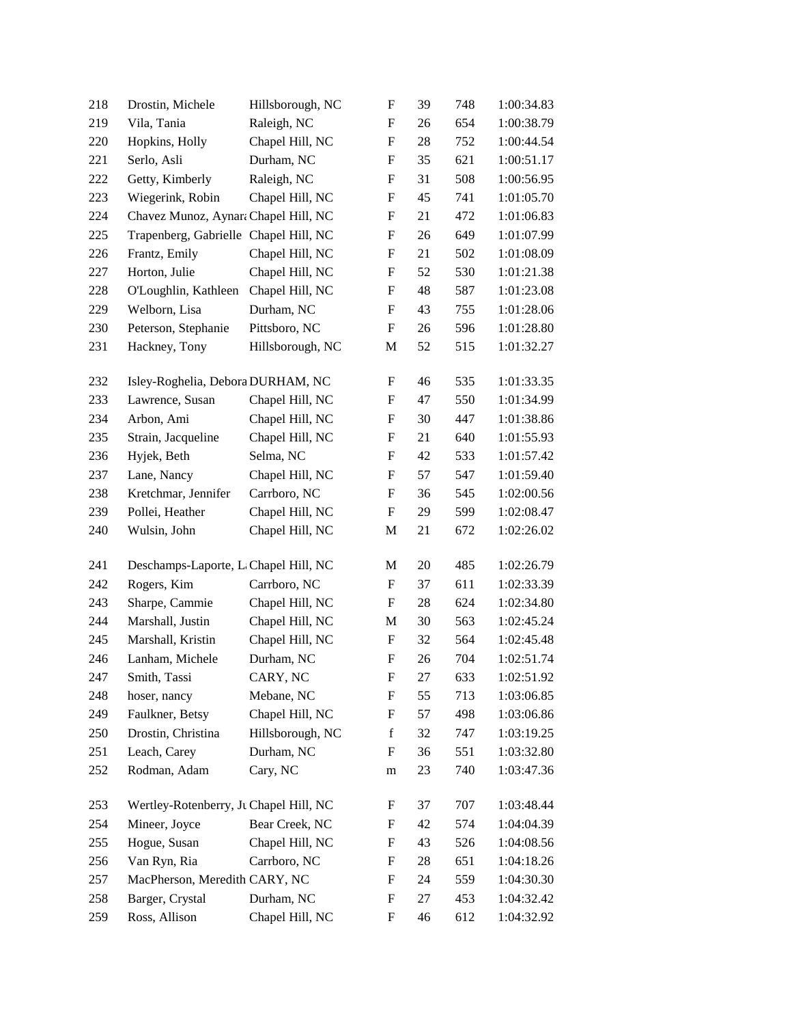| Vila, Tania<br>Raleigh, NC<br>1:00:38.79<br>219<br>F<br>26<br>654<br>Hopkins, Holly<br>Chapel Hill, NC<br>28<br>1:00:44.54<br>220<br>F<br>752<br>Durham, NC<br>1:00:51.17<br>221<br>Serlo, Asli<br>F<br>35<br>621<br>Raleigh, NC<br>31<br>508<br>1:00:56.95<br>222<br>Getty, Kimberly<br>F<br>Wiegerink, Robin<br>Chapel Hill, NC<br>1:01:05.70<br>223<br>F<br>45<br>741<br>Chavez Munoz, Aynara Chapel Hill, NC<br>1:01:06.83<br>224<br>F<br>21<br>472<br>Trapenberg, Gabrielle Chapel Hill, NC<br>1:01:07.99<br>225<br>F<br>26<br>649<br>1:01:08.09<br>226<br>Frantz, Emily<br>Chapel Hill, NC<br>F<br>21<br>502<br>227<br>Horton, Julie<br>1:01:21.38<br>Chapel Hill, NC<br>F<br>52<br>530<br>Chapel Hill, NC<br>1:01:23.08<br>228<br>O'Loughlin, Kathleen<br>F<br>48<br>587<br>Welborn, Lisa<br>Durham, NC<br>229<br>F<br>43<br>755<br>1:01:28.06<br>Peterson, Stephanie<br>1:01:28.80<br>230<br>Pittsboro, NC<br>F<br>26<br>596<br>Hillsborough, NC<br>1:01:32.27<br>231<br>Hackney, Tony<br>52<br>515<br>M<br>1:01:33.35<br>232<br>Isley-Roghelia, Debora DURHAM, NC<br>F<br>46<br>535<br>1:01:34.99<br>233<br>Lawrence, Susan<br>Chapel Hill, NC<br>47<br>550<br>F<br>Arbon, Ami<br>Chapel Hill, NC<br>1:01:38.86<br>234<br>F<br>30<br>447<br>1:01:55.93<br>235<br>Strain, Jacqueline<br>Chapel Hill, NC<br>F<br>21<br>640<br>Hyjek, Beth<br>Selma, NC<br>1:01:57.42<br>236<br>F<br>42<br>533<br>237<br>1:01:59.40<br>Lane, Nancy<br>Chapel Hill, NC<br>F<br>57<br>547<br>Kretchmar, Jennifer<br>Carrboro, NC<br>238<br>F<br>1:02:00.56<br>36<br>545<br>Pollei, Heather<br>Chapel Hill, NC<br>1:02:08.47<br>239<br>F<br>29<br>599<br>1:02:26.02<br>240<br>Wulsin, John<br>Chapel Hill, NC<br>M<br>21<br>672<br>241<br>Deschamps-Laporte, L Chapel Hill, NC<br>M<br>20<br>485<br>1:02:26.79<br>Rogers, Kim<br>Carrboro, NC<br>611<br>1:02:33.39<br>242<br>F<br>37<br>1:02:34.80<br>243<br>Sharpe, Cammie<br>Chapel Hill, NC<br>F<br>28<br>624<br>Chapel Hill, NC<br>1:02:45.24<br>244<br>Marshall, Justin<br>30<br>M<br>563<br>Chapel Hill, NC<br>$\boldsymbol{\mathrm{F}}$<br>1:02:45.48<br>245<br>Marshall, Kristin<br>32<br>564<br>Lanham, Michele<br>Durham, NC<br>1:02:51.74<br>246<br>F<br>26<br>704<br>Smith, Tassi<br>CARY, NC<br>27<br>1:02:51.92<br>247<br>F<br>633<br>Mebane, NC<br>713<br>1:03:06.85<br>248<br>F<br>55<br>hoser, nancy<br>Chapel Hill, NC<br>249<br>Faulkner, Betsy<br>57<br>498<br>1:03:06.86<br>F<br>Drostin, Christina<br>Hillsborough, NC<br>$\mathbf f$<br>250<br>32<br>747<br>1:03:19.25<br>Durham, NC<br>251<br>Leach, Carey<br>551<br>1:03:32.80<br>F<br>36<br>252<br>Rodman, Adam<br>Cary, NC<br>23<br>740<br>1:03:47.36<br>m<br>253<br>Wertley-Rotenberry, Jt Chapel Hill, NC<br>37<br>707<br>1:03:48.44<br>F<br>Bear Creek, NC<br>574<br>1:04:04.39<br>254<br>Mineer, Joyce<br>F<br>42<br>Hogue, Susan<br>255<br>Chapel Hill, NC<br>1:04:08.56<br>F<br>43<br>526<br>Van Ryn, Ria<br>Carrboro, NC<br>256<br>28<br>651<br>1:04:18.26<br>F<br>MacPherson, Meredith CARY, NC<br>1:04:30.30<br>257<br>F<br>24<br>559<br>Barger, Crystal<br>Durham, NC<br>258<br>27<br>453<br>1:04:32.42<br>F<br>259<br>Ross, Allison<br>Chapel Hill, NC<br>46<br>612<br>1:04:32.92<br>F | 218 | Drostin, Michele | Hillsborough, NC | F | 39 | 748 | 1:00:34.83 |
|-----------------------------------------------------------------------------------------------------------------------------------------------------------------------------------------------------------------------------------------------------------------------------------------------------------------------------------------------------------------------------------------------------------------------------------------------------------------------------------------------------------------------------------------------------------------------------------------------------------------------------------------------------------------------------------------------------------------------------------------------------------------------------------------------------------------------------------------------------------------------------------------------------------------------------------------------------------------------------------------------------------------------------------------------------------------------------------------------------------------------------------------------------------------------------------------------------------------------------------------------------------------------------------------------------------------------------------------------------------------------------------------------------------------------------------------------------------------------------------------------------------------------------------------------------------------------------------------------------------------------------------------------------------------------------------------------------------------------------------------------------------------------------------------------------------------------------------------------------------------------------------------------------------------------------------------------------------------------------------------------------------------------------------------------------------------------------------------------------------------------------------------------------------------------------------------------------------------------------------------------------------------------------------------------------------------------------------------------------------------------------------------------------------------------------------------------------------------------------------------------------------------------------------------------------------------------------------------------------------------------------------------------------------------------------------------------------------------------------------------------------------------------------------------------------------------------------------------------------------------------------------------------------------------------------------------------------------------------------------------------------------------------------------------------------------------------------------------------------------------------------------------------------------------------------------------------------------------|-----|------------------|------------------|---|----|-----|------------|
|                                                                                                                                                                                                                                                                                                                                                                                                                                                                                                                                                                                                                                                                                                                                                                                                                                                                                                                                                                                                                                                                                                                                                                                                                                                                                                                                                                                                                                                                                                                                                                                                                                                                                                                                                                                                                                                                                                                                                                                                                                                                                                                                                                                                                                                                                                                                                                                                                                                                                                                                                                                                                                                                                                                                                                                                                                                                                                                                                                                                                                                                                                                                                                                                                 |     |                  |                  |   |    |     |            |
|                                                                                                                                                                                                                                                                                                                                                                                                                                                                                                                                                                                                                                                                                                                                                                                                                                                                                                                                                                                                                                                                                                                                                                                                                                                                                                                                                                                                                                                                                                                                                                                                                                                                                                                                                                                                                                                                                                                                                                                                                                                                                                                                                                                                                                                                                                                                                                                                                                                                                                                                                                                                                                                                                                                                                                                                                                                                                                                                                                                                                                                                                                                                                                                                                 |     |                  |                  |   |    |     |            |
|                                                                                                                                                                                                                                                                                                                                                                                                                                                                                                                                                                                                                                                                                                                                                                                                                                                                                                                                                                                                                                                                                                                                                                                                                                                                                                                                                                                                                                                                                                                                                                                                                                                                                                                                                                                                                                                                                                                                                                                                                                                                                                                                                                                                                                                                                                                                                                                                                                                                                                                                                                                                                                                                                                                                                                                                                                                                                                                                                                                                                                                                                                                                                                                                                 |     |                  |                  |   |    |     |            |
|                                                                                                                                                                                                                                                                                                                                                                                                                                                                                                                                                                                                                                                                                                                                                                                                                                                                                                                                                                                                                                                                                                                                                                                                                                                                                                                                                                                                                                                                                                                                                                                                                                                                                                                                                                                                                                                                                                                                                                                                                                                                                                                                                                                                                                                                                                                                                                                                                                                                                                                                                                                                                                                                                                                                                                                                                                                                                                                                                                                                                                                                                                                                                                                                                 |     |                  |                  |   |    |     |            |
|                                                                                                                                                                                                                                                                                                                                                                                                                                                                                                                                                                                                                                                                                                                                                                                                                                                                                                                                                                                                                                                                                                                                                                                                                                                                                                                                                                                                                                                                                                                                                                                                                                                                                                                                                                                                                                                                                                                                                                                                                                                                                                                                                                                                                                                                                                                                                                                                                                                                                                                                                                                                                                                                                                                                                                                                                                                                                                                                                                                                                                                                                                                                                                                                                 |     |                  |                  |   |    |     |            |
|                                                                                                                                                                                                                                                                                                                                                                                                                                                                                                                                                                                                                                                                                                                                                                                                                                                                                                                                                                                                                                                                                                                                                                                                                                                                                                                                                                                                                                                                                                                                                                                                                                                                                                                                                                                                                                                                                                                                                                                                                                                                                                                                                                                                                                                                                                                                                                                                                                                                                                                                                                                                                                                                                                                                                                                                                                                                                                                                                                                                                                                                                                                                                                                                                 |     |                  |                  |   |    |     |            |
|                                                                                                                                                                                                                                                                                                                                                                                                                                                                                                                                                                                                                                                                                                                                                                                                                                                                                                                                                                                                                                                                                                                                                                                                                                                                                                                                                                                                                                                                                                                                                                                                                                                                                                                                                                                                                                                                                                                                                                                                                                                                                                                                                                                                                                                                                                                                                                                                                                                                                                                                                                                                                                                                                                                                                                                                                                                                                                                                                                                                                                                                                                                                                                                                                 |     |                  |                  |   |    |     |            |
|                                                                                                                                                                                                                                                                                                                                                                                                                                                                                                                                                                                                                                                                                                                                                                                                                                                                                                                                                                                                                                                                                                                                                                                                                                                                                                                                                                                                                                                                                                                                                                                                                                                                                                                                                                                                                                                                                                                                                                                                                                                                                                                                                                                                                                                                                                                                                                                                                                                                                                                                                                                                                                                                                                                                                                                                                                                                                                                                                                                                                                                                                                                                                                                                                 |     |                  |                  |   |    |     |            |
|                                                                                                                                                                                                                                                                                                                                                                                                                                                                                                                                                                                                                                                                                                                                                                                                                                                                                                                                                                                                                                                                                                                                                                                                                                                                                                                                                                                                                                                                                                                                                                                                                                                                                                                                                                                                                                                                                                                                                                                                                                                                                                                                                                                                                                                                                                                                                                                                                                                                                                                                                                                                                                                                                                                                                                                                                                                                                                                                                                                                                                                                                                                                                                                                                 |     |                  |                  |   |    |     |            |
|                                                                                                                                                                                                                                                                                                                                                                                                                                                                                                                                                                                                                                                                                                                                                                                                                                                                                                                                                                                                                                                                                                                                                                                                                                                                                                                                                                                                                                                                                                                                                                                                                                                                                                                                                                                                                                                                                                                                                                                                                                                                                                                                                                                                                                                                                                                                                                                                                                                                                                                                                                                                                                                                                                                                                                                                                                                                                                                                                                                                                                                                                                                                                                                                                 |     |                  |                  |   |    |     |            |
|                                                                                                                                                                                                                                                                                                                                                                                                                                                                                                                                                                                                                                                                                                                                                                                                                                                                                                                                                                                                                                                                                                                                                                                                                                                                                                                                                                                                                                                                                                                                                                                                                                                                                                                                                                                                                                                                                                                                                                                                                                                                                                                                                                                                                                                                                                                                                                                                                                                                                                                                                                                                                                                                                                                                                                                                                                                                                                                                                                                                                                                                                                                                                                                                                 |     |                  |                  |   |    |     |            |
|                                                                                                                                                                                                                                                                                                                                                                                                                                                                                                                                                                                                                                                                                                                                                                                                                                                                                                                                                                                                                                                                                                                                                                                                                                                                                                                                                                                                                                                                                                                                                                                                                                                                                                                                                                                                                                                                                                                                                                                                                                                                                                                                                                                                                                                                                                                                                                                                                                                                                                                                                                                                                                                                                                                                                                                                                                                                                                                                                                                                                                                                                                                                                                                                                 |     |                  |                  |   |    |     |            |
|                                                                                                                                                                                                                                                                                                                                                                                                                                                                                                                                                                                                                                                                                                                                                                                                                                                                                                                                                                                                                                                                                                                                                                                                                                                                                                                                                                                                                                                                                                                                                                                                                                                                                                                                                                                                                                                                                                                                                                                                                                                                                                                                                                                                                                                                                                                                                                                                                                                                                                                                                                                                                                                                                                                                                                                                                                                                                                                                                                                                                                                                                                                                                                                                                 |     |                  |                  |   |    |     |            |
|                                                                                                                                                                                                                                                                                                                                                                                                                                                                                                                                                                                                                                                                                                                                                                                                                                                                                                                                                                                                                                                                                                                                                                                                                                                                                                                                                                                                                                                                                                                                                                                                                                                                                                                                                                                                                                                                                                                                                                                                                                                                                                                                                                                                                                                                                                                                                                                                                                                                                                                                                                                                                                                                                                                                                                                                                                                                                                                                                                                                                                                                                                                                                                                                                 |     |                  |                  |   |    |     |            |
|                                                                                                                                                                                                                                                                                                                                                                                                                                                                                                                                                                                                                                                                                                                                                                                                                                                                                                                                                                                                                                                                                                                                                                                                                                                                                                                                                                                                                                                                                                                                                                                                                                                                                                                                                                                                                                                                                                                                                                                                                                                                                                                                                                                                                                                                                                                                                                                                                                                                                                                                                                                                                                                                                                                                                                                                                                                                                                                                                                                                                                                                                                                                                                                                                 |     |                  |                  |   |    |     |            |
|                                                                                                                                                                                                                                                                                                                                                                                                                                                                                                                                                                                                                                                                                                                                                                                                                                                                                                                                                                                                                                                                                                                                                                                                                                                                                                                                                                                                                                                                                                                                                                                                                                                                                                                                                                                                                                                                                                                                                                                                                                                                                                                                                                                                                                                                                                                                                                                                                                                                                                                                                                                                                                                                                                                                                                                                                                                                                                                                                                                                                                                                                                                                                                                                                 |     |                  |                  |   |    |     |            |
|                                                                                                                                                                                                                                                                                                                                                                                                                                                                                                                                                                                                                                                                                                                                                                                                                                                                                                                                                                                                                                                                                                                                                                                                                                                                                                                                                                                                                                                                                                                                                                                                                                                                                                                                                                                                                                                                                                                                                                                                                                                                                                                                                                                                                                                                                                                                                                                                                                                                                                                                                                                                                                                                                                                                                                                                                                                                                                                                                                                                                                                                                                                                                                                                                 |     |                  |                  |   |    |     |            |
|                                                                                                                                                                                                                                                                                                                                                                                                                                                                                                                                                                                                                                                                                                                                                                                                                                                                                                                                                                                                                                                                                                                                                                                                                                                                                                                                                                                                                                                                                                                                                                                                                                                                                                                                                                                                                                                                                                                                                                                                                                                                                                                                                                                                                                                                                                                                                                                                                                                                                                                                                                                                                                                                                                                                                                                                                                                                                                                                                                                                                                                                                                                                                                                                                 |     |                  |                  |   |    |     |            |
|                                                                                                                                                                                                                                                                                                                                                                                                                                                                                                                                                                                                                                                                                                                                                                                                                                                                                                                                                                                                                                                                                                                                                                                                                                                                                                                                                                                                                                                                                                                                                                                                                                                                                                                                                                                                                                                                                                                                                                                                                                                                                                                                                                                                                                                                                                                                                                                                                                                                                                                                                                                                                                                                                                                                                                                                                                                                                                                                                                                                                                                                                                                                                                                                                 |     |                  |                  |   |    |     |            |
|                                                                                                                                                                                                                                                                                                                                                                                                                                                                                                                                                                                                                                                                                                                                                                                                                                                                                                                                                                                                                                                                                                                                                                                                                                                                                                                                                                                                                                                                                                                                                                                                                                                                                                                                                                                                                                                                                                                                                                                                                                                                                                                                                                                                                                                                                                                                                                                                                                                                                                                                                                                                                                                                                                                                                                                                                                                                                                                                                                                                                                                                                                                                                                                                                 |     |                  |                  |   |    |     |            |
|                                                                                                                                                                                                                                                                                                                                                                                                                                                                                                                                                                                                                                                                                                                                                                                                                                                                                                                                                                                                                                                                                                                                                                                                                                                                                                                                                                                                                                                                                                                                                                                                                                                                                                                                                                                                                                                                                                                                                                                                                                                                                                                                                                                                                                                                                                                                                                                                                                                                                                                                                                                                                                                                                                                                                                                                                                                                                                                                                                                                                                                                                                                                                                                                                 |     |                  |                  |   |    |     |            |
|                                                                                                                                                                                                                                                                                                                                                                                                                                                                                                                                                                                                                                                                                                                                                                                                                                                                                                                                                                                                                                                                                                                                                                                                                                                                                                                                                                                                                                                                                                                                                                                                                                                                                                                                                                                                                                                                                                                                                                                                                                                                                                                                                                                                                                                                                                                                                                                                                                                                                                                                                                                                                                                                                                                                                                                                                                                                                                                                                                                                                                                                                                                                                                                                                 |     |                  |                  |   |    |     |            |
|                                                                                                                                                                                                                                                                                                                                                                                                                                                                                                                                                                                                                                                                                                                                                                                                                                                                                                                                                                                                                                                                                                                                                                                                                                                                                                                                                                                                                                                                                                                                                                                                                                                                                                                                                                                                                                                                                                                                                                                                                                                                                                                                                                                                                                                                                                                                                                                                                                                                                                                                                                                                                                                                                                                                                                                                                                                                                                                                                                                                                                                                                                                                                                                                                 |     |                  |                  |   |    |     |            |
|                                                                                                                                                                                                                                                                                                                                                                                                                                                                                                                                                                                                                                                                                                                                                                                                                                                                                                                                                                                                                                                                                                                                                                                                                                                                                                                                                                                                                                                                                                                                                                                                                                                                                                                                                                                                                                                                                                                                                                                                                                                                                                                                                                                                                                                                                                                                                                                                                                                                                                                                                                                                                                                                                                                                                                                                                                                                                                                                                                                                                                                                                                                                                                                                                 |     |                  |                  |   |    |     |            |
|                                                                                                                                                                                                                                                                                                                                                                                                                                                                                                                                                                                                                                                                                                                                                                                                                                                                                                                                                                                                                                                                                                                                                                                                                                                                                                                                                                                                                                                                                                                                                                                                                                                                                                                                                                                                                                                                                                                                                                                                                                                                                                                                                                                                                                                                                                                                                                                                                                                                                                                                                                                                                                                                                                                                                                                                                                                                                                                                                                                                                                                                                                                                                                                                                 |     |                  |                  |   |    |     |            |
|                                                                                                                                                                                                                                                                                                                                                                                                                                                                                                                                                                                                                                                                                                                                                                                                                                                                                                                                                                                                                                                                                                                                                                                                                                                                                                                                                                                                                                                                                                                                                                                                                                                                                                                                                                                                                                                                                                                                                                                                                                                                                                                                                                                                                                                                                                                                                                                                                                                                                                                                                                                                                                                                                                                                                                                                                                                                                                                                                                                                                                                                                                                                                                                                                 |     |                  |                  |   |    |     |            |
|                                                                                                                                                                                                                                                                                                                                                                                                                                                                                                                                                                                                                                                                                                                                                                                                                                                                                                                                                                                                                                                                                                                                                                                                                                                                                                                                                                                                                                                                                                                                                                                                                                                                                                                                                                                                                                                                                                                                                                                                                                                                                                                                                                                                                                                                                                                                                                                                                                                                                                                                                                                                                                                                                                                                                                                                                                                                                                                                                                                                                                                                                                                                                                                                                 |     |                  |                  |   |    |     |            |
|                                                                                                                                                                                                                                                                                                                                                                                                                                                                                                                                                                                                                                                                                                                                                                                                                                                                                                                                                                                                                                                                                                                                                                                                                                                                                                                                                                                                                                                                                                                                                                                                                                                                                                                                                                                                                                                                                                                                                                                                                                                                                                                                                                                                                                                                                                                                                                                                                                                                                                                                                                                                                                                                                                                                                                                                                                                                                                                                                                                                                                                                                                                                                                                                                 |     |                  |                  |   |    |     |            |
|                                                                                                                                                                                                                                                                                                                                                                                                                                                                                                                                                                                                                                                                                                                                                                                                                                                                                                                                                                                                                                                                                                                                                                                                                                                                                                                                                                                                                                                                                                                                                                                                                                                                                                                                                                                                                                                                                                                                                                                                                                                                                                                                                                                                                                                                                                                                                                                                                                                                                                                                                                                                                                                                                                                                                                                                                                                                                                                                                                                                                                                                                                                                                                                                                 |     |                  |                  |   |    |     |            |
|                                                                                                                                                                                                                                                                                                                                                                                                                                                                                                                                                                                                                                                                                                                                                                                                                                                                                                                                                                                                                                                                                                                                                                                                                                                                                                                                                                                                                                                                                                                                                                                                                                                                                                                                                                                                                                                                                                                                                                                                                                                                                                                                                                                                                                                                                                                                                                                                                                                                                                                                                                                                                                                                                                                                                                                                                                                                                                                                                                                                                                                                                                                                                                                                                 |     |                  |                  |   |    |     |            |
|                                                                                                                                                                                                                                                                                                                                                                                                                                                                                                                                                                                                                                                                                                                                                                                                                                                                                                                                                                                                                                                                                                                                                                                                                                                                                                                                                                                                                                                                                                                                                                                                                                                                                                                                                                                                                                                                                                                                                                                                                                                                                                                                                                                                                                                                                                                                                                                                                                                                                                                                                                                                                                                                                                                                                                                                                                                                                                                                                                                                                                                                                                                                                                                                                 |     |                  |                  |   |    |     |            |
|                                                                                                                                                                                                                                                                                                                                                                                                                                                                                                                                                                                                                                                                                                                                                                                                                                                                                                                                                                                                                                                                                                                                                                                                                                                                                                                                                                                                                                                                                                                                                                                                                                                                                                                                                                                                                                                                                                                                                                                                                                                                                                                                                                                                                                                                                                                                                                                                                                                                                                                                                                                                                                                                                                                                                                                                                                                                                                                                                                                                                                                                                                                                                                                                                 |     |                  |                  |   |    |     |            |
|                                                                                                                                                                                                                                                                                                                                                                                                                                                                                                                                                                                                                                                                                                                                                                                                                                                                                                                                                                                                                                                                                                                                                                                                                                                                                                                                                                                                                                                                                                                                                                                                                                                                                                                                                                                                                                                                                                                                                                                                                                                                                                                                                                                                                                                                                                                                                                                                                                                                                                                                                                                                                                                                                                                                                                                                                                                                                                                                                                                                                                                                                                                                                                                                                 |     |                  |                  |   |    |     |            |
|                                                                                                                                                                                                                                                                                                                                                                                                                                                                                                                                                                                                                                                                                                                                                                                                                                                                                                                                                                                                                                                                                                                                                                                                                                                                                                                                                                                                                                                                                                                                                                                                                                                                                                                                                                                                                                                                                                                                                                                                                                                                                                                                                                                                                                                                                                                                                                                                                                                                                                                                                                                                                                                                                                                                                                                                                                                                                                                                                                                                                                                                                                                                                                                                                 |     |                  |                  |   |    |     |            |
|                                                                                                                                                                                                                                                                                                                                                                                                                                                                                                                                                                                                                                                                                                                                                                                                                                                                                                                                                                                                                                                                                                                                                                                                                                                                                                                                                                                                                                                                                                                                                                                                                                                                                                                                                                                                                                                                                                                                                                                                                                                                                                                                                                                                                                                                                                                                                                                                                                                                                                                                                                                                                                                                                                                                                                                                                                                                                                                                                                                                                                                                                                                                                                                                                 |     |                  |                  |   |    |     |            |
|                                                                                                                                                                                                                                                                                                                                                                                                                                                                                                                                                                                                                                                                                                                                                                                                                                                                                                                                                                                                                                                                                                                                                                                                                                                                                                                                                                                                                                                                                                                                                                                                                                                                                                                                                                                                                                                                                                                                                                                                                                                                                                                                                                                                                                                                                                                                                                                                                                                                                                                                                                                                                                                                                                                                                                                                                                                                                                                                                                                                                                                                                                                                                                                                                 |     |                  |                  |   |    |     |            |
|                                                                                                                                                                                                                                                                                                                                                                                                                                                                                                                                                                                                                                                                                                                                                                                                                                                                                                                                                                                                                                                                                                                                                                                                                                                                                                                                                                                                                                                                                                                                                                                                                                                                                                                                                                                                                                                                                                                                                                                                                                                                                                                                                                                                                                                                                                                                                                                                                                                                                                                                                                                                                                                                                                                                                                                                                                                                                                                                                                                                                                                                                                                                                                                                                 |     |                  |                  |   |    |     |            |
|                                                                                                                                                                                                                                                                                                                                                                                                                                                                                                                                                                                                                                                                                                                                                                                                                                                                                                                                                                                                                                                                                                                                                                                                                                                                                                                                                                                                                                                                                                                                                                                                                                                                                                                                                                                                                                                                                                                                                                                                                                                                                                                                                                                                                                                                                                                                                                                                                                                                                                                                                                                                                                                                                                                                                                                                                                                                                                                                                                                                                                                                                                                                                                                                                 |     |                  |                  |   |    |     |            |
|                                                                                                                                                                                                                                                                                                                                                                                                                                                                                                                                                                                                                                                                                                                                                                                                                                                                                                                                                                                                                                                                                                                                                                                                                                                                                                                                                                                                                                                                                                                                                                                                                                                                                                                                                                                                                                                                                                                                                                                                                                                                                                                                                                                                                                                                                                                                                                                                                                                                                                                                                                                                                                                                                                                                                                                                                                                                                                                                                                                                                                                                                                                                                                                                                 |     |                  |                  |   |    |     |            |
|                                                                                                                                                                                                                                                                                                                                                                                                                                                                                                                                                                                                                                                                                                                                                                                                                                                                                                                                                                                                                                                                                                                                                                                                                                                                                                                                                                                                                                                                                                                                                                                                                                                                                                                                                                                                                                                                                                                                                                                                                                                                                                                                                                                                                                                                                                                                                                                                                                                                                                                                                                                                                                                                                                                                                                                                                                                                                                                                                                                                                                                                                                                                                                                                                 |     |                  |                  |   |    |     |            |
|                                                                                                                                                                                                                                                                                                                                                                                                                                                                                                                                                                                                                                                                                                                                                                                                                                                                                                                                                                                                                                                                                                                                                                                                                                                                                                                                                                                                                                                                                                                                                                                                                                                                                                                                                                                                                                                                                                                                                                                                                                                                                                                                                                                                                                                                                                                                                                                                                                                                                                                                                                                                                                                                                                                                                                                                                                                                                                                                                                                                                                                                                                                                                                                                                 |     |                  |                  |   |    |     |            |